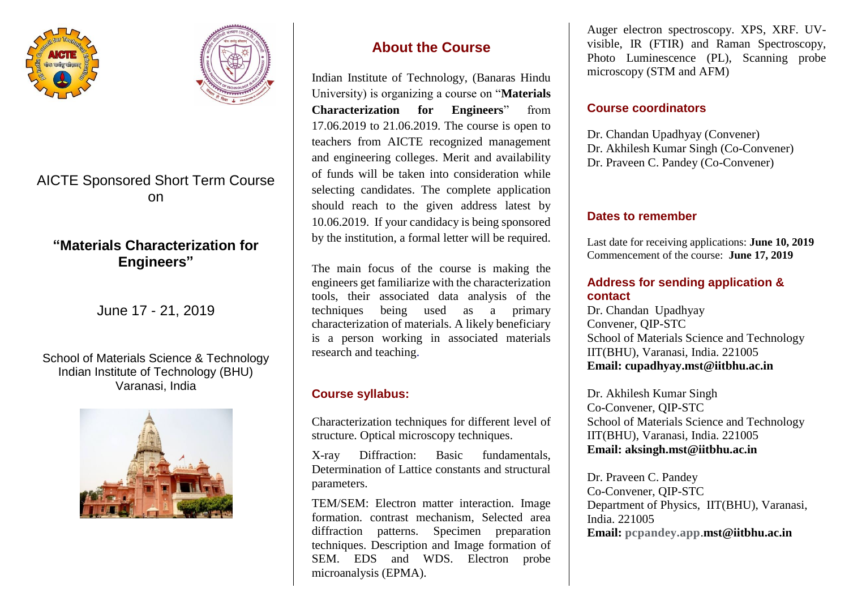



# AICTE Sponsored Short Term Course on

# **"Materials Characterization for Engineers"**

June 17 - 21, 2019

#### School of Materials Science & Technology Indian Institute of Technology (BHU) Varanasi, India



# **About the Course**

Indian Institute of Technology, (Banaras Hindu University) is organizing a course on "**Materials Characterization for Engineers**" from 17.06.2019 to 21.06.2019. The course is open to teachers from AICTE recognized management and engineering colleges. Merit and availability of funds will be taken into consideration while selecting candidates. The complete application should reach to the given address latest by 10.06.2019. If your candidacy is being sponsored by the institution, a formal letter will be required.

The main focus of the course is making the engineers get familiarize with the characterization tools, their associated data analysis of the techniques being used as a primary characterization of materials. A likely beneficiary is a person working in associated materials research and teaching.

### **Course syllabus:**

Characterization techniques for different level of structure. Optical microscopy techniques.

X-ray Diffraction: Basic fundamentals, Determination of Lattice constants and structural parameters.

TEM/SEM: Electron matter interaction. Image formation. contrast mechanism, Selected area diffraction patterns. Specimen preparation techniques. Description and Image formation of SEM. EDS and WDS. Electron probe microanalysis (EPMA).

Auger electron spectroscopy. XPS, XRF. UVvisible, IR (FTIR) and Raman Spectroscopy, Photo Luminescence (PL), Scanning probe microscopy (STM and AFM)

### **Course coordinators**

Dr. Chandan Upadhyay (Convener) Dr. Akhilesh Kumar Singh (Co-Convener) Dr. Praveen C. Pandey (Co-Convener)

### **Dates to remember**

Last date for receiving applications: **June 10, 2019** Commencement of the course: **June 17, 2019**

### **Address for sending application & contact**

Dr. Chandan Upadhyay Convener, QIP-STC School of Materials Science and Technology IIT(BHU), Varanasi, India. 221005 **Email: cupadhyay.mst@iitbhu.ac.in**

Dr. Akhilesh Kumar Singh Co-Convener, QIP-STC School of Materials Science and Technology IIT(BHU), Varanasi, India. 221005 **Email: aksingh.mst@iitbhu.ac.in**

Dr. Praveen C. Pandey Co-Convener, QIP-STC Department of Physics, IIT(BHU), Varanasi, India. 221005 **Email: pcpandey.app**.**mst@iitbhu.ac.in**